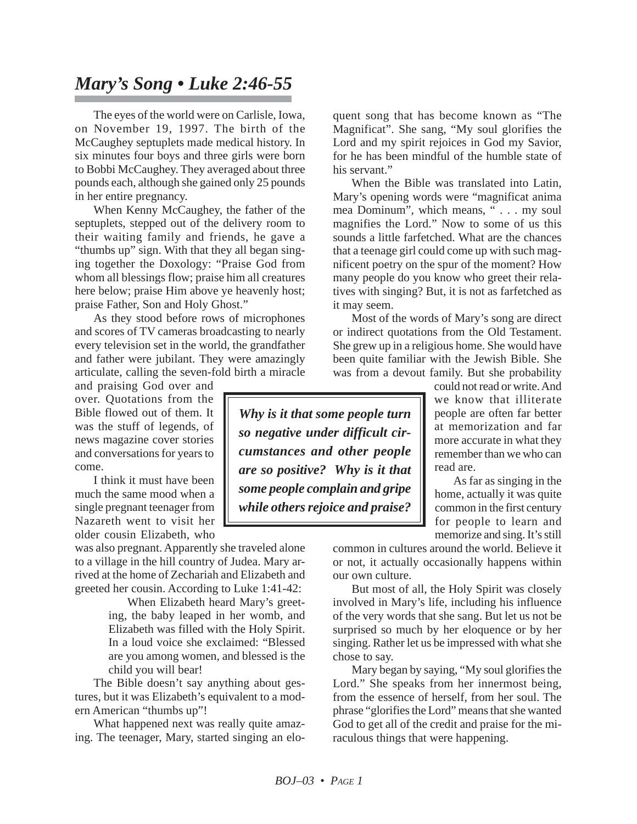## *Mary's Song • Luke 2:46-55*

The eyes of the world were on Carlisle, Iowa, on November 19, 1997. The birth of the McCaughey septuplets made medical history. In six minutes four boys and three girls were born to Bobbi McCaughey. They averaged about three pounds each, although she gained only 25 pounds in her entire pregnancy.

When Kenny McCaughey, the father of the septuplets, stepped out of the delivery room to their waiting family and friends, he gave a "thumbs up" sign. With that they all began singing together the Doxology: "Praise God from whom all blessings flow; praise him all creatures here below; praise Him above ye heavenly host; praise Father, Son and Holy Ghost."

As they stood before rows of microphones and scores of TV cameras broadcasting to nearly every television set in the world, the grandfather and father were jubilant. They were amazingly articulate, calling the seven-fold birth a miracle

and praising God over and over. Quotations from the Bible flowed out of them. It was the stuff of legends, of news magazine cover stories and conversations for years to come.

I think it must have been much the same mood when a single pregnant teenager from Nazareth went to visit her older cousin Elizabeth, who

was also pregnant. Apparently she traveled alone to a village in the hill country of Judea. Mary arrived at the home of Zechariah and Elizabeth and greeted her cousin. According to Luke 1:41-42:

> When Elizabeth heard Mary's greeting, the baby leaped in her womb, and Elizabeth was filled with the Holy Spirit. In a loud voice she exclaimed: "Blessed are you among women, and blessed is the child you will bear!

The Bible doesn't say anything about gestures, but it was Elizabeth's equivalent to a modern American "thumbs up"!

What happened next was really quite amazing. The teenager, Mary, started singing an elo-

quent song that has become known as "The Magnificat". She sang, "My soul glorifies the Lord and my spirit rejoices in God my Savior, for he has been mindful of the humble state of his servant."

When the Bible was translated into Latin, Mary's opening words were "magnificat anima mea Dominum", which means, " . . . my soul magnifies the Lord." Now to some of us this sounds a little farfetched. What are the chances that a teenage girl could come up with such magnificent poetry on the spur of the moment? How many people do you know who greet their relatives with singing? But, it is not as farfetched as it may seem.

Most of the words of Mary's song are direct or indirect quotations from the Old Testament. She grew up in a religious home. She would have been quite familiar with the Jewish Bible. She was from a devout family. But she probability

*Why is it that some people turn so negative under difficult circumstances and other people are so positive? Why is it that some people complain and gripe while others rejoice and praise?*

could not read or write. And we know that illiterate people are often far better at memorization and far more accurate in what they remember than we who can read are.

As far as singing in the home, actually it was quite common in the first century for people to learn and memorize and sing. It's still

common in cultures around the world. Believe it or not, it actually occasionally happens within our own culture.

But most of all, the Holy Spirit was closely involved in Mary's life, including his influence of the very words that she sang. But let us not be surprised so much by her eloquence or by her singing. Rather let us be impressed with what she chose to say.

Mary began by saying, "My soul glorifies the Lord." She speaks from her innermost being, from the essence of herself, from her soul. The phrase "glorifies the Lord" means that she wanted God to get all of the credit and praise for the miraculous things that were happening.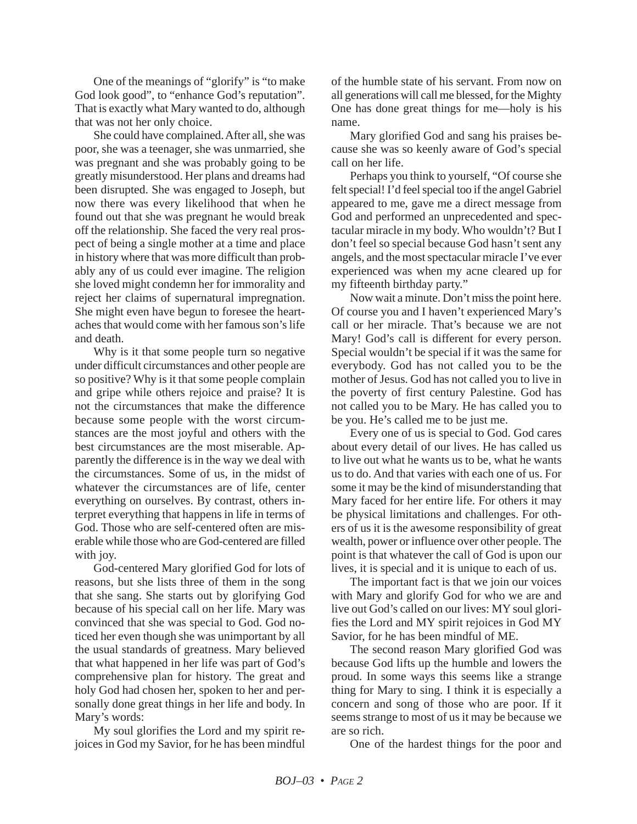One of the meanings of "glorify" is "to make God look good", to "enhance God's reputation". That is exactly what Mary wanted to do, although that was not her only choice.

She could have complained. After all, she was poor, she was a teenager, she was unmarried, she was pregnant and she was probably going to be greatly misunderstood. Her plans and dreams had been disrupted. She was engaged to Joseph, but now there was every likelihood that when he found out that she was pregnant he would break off the relationship. She faced the very real prospect of being a single mother at a time and place in history where that was more difficult than probably any of us could ever imagine. The religion she loved might condemn her for immorality and reject her claims of supernatural impregnation. She might even have begun to foresee the heartaches that would come with her famous son's life and death.

Why is it that some people turn so negative under difficult circumstances and other people are so positive? Why is it that some people complain and gripe while others rejoice and praise? It is not the circumstances that make the difference because some people with the worst circumstances are the most joyful and others with the best circumstances are the most miserable. Apparently the difference is in the way we deal with the circumstances. Some of us, in the midst of whatever the circumstances are of life, center everything on ourselves. By contrast, others interpret everything that happens in life in terms of God. Those who are self-centered often are miserable while those who are God-centered are filled with joy.

God-centered Mary glorified God for lots of reasons, but she lists three of them in the song that she sang. She starts out by glorifying God because of his special call on her life. Mary was convinced that she was special to God. God noticed her even though she was unimportant by all the usual standards of greatness. Mary believed that what happened in her life was part of God's comprehensive plan for history. The great and holy God had chosen her, spoken to her and personally done great things in her life and body. In Mary's words:

My soul glorifies the Lord and my spirit rejoices in God my Savior, for he has been mindful of the humble state of his servant. From now on all generations will call me blessed, for the Mighty One has done great things for me—holy is his name.

Mary glorified God and sang his praises because she was so keenly aware of God's special call on her life.

Perhaps you think to yourself, "Of course she felt special! I'd feel special too if the angel Gabriel appeared to me, gave me a direct message from God and performed an unprecedented and spectacular miracle in my body. Who wouldn't? But I don't feel so special because God hasn't sent any angels, and the most spectacular miracle I've ever experienced was when my acne cleared up for my fifteenth birthday party."

Now wait a minute. Don't miss the point here. Of course you and I haven't experienced Mary's call or her miracle. That's because we are not Mary! God's call is different for every person. Special wouldn't be special if it was the same for everybody. God has not called you to be the mother of Jesus. God has not called you to live in the poverty of first century Palestine. God has not called you to be Mary. He has called you to be you. He's called me to be just me.

Every one of us is special to God. God cares about every detail of our lives. He has called us to live out what he wants us to be, what he wants us to do. And that varies with each one of us. For some it may be the kind of misunderstanding that Mary faced for her entire life. For others it may be physical limitations and challenges. For others of us it is the awesome responsibility of great wealth, power or influence over other people. The point is that whatever the call of God is upon our lives, it is special and it is unique to each of us.

The important fact is that we join our voices with Mary and glorify God for who we are and live out God's called on our lives: MY soul glorifies the Lord and MY spirit rejoices in God MY Savior, for he has been mindful of ME.

The second reason Mary glorified God was because God lifts up the humble and lowers the proud. In some ways this seems like a strange thing for Mary to sing. I think it is especially a concern and song of those who are poor. If it seems strange to most of us it may be because we are so rich.

One of the hardest things for the poor and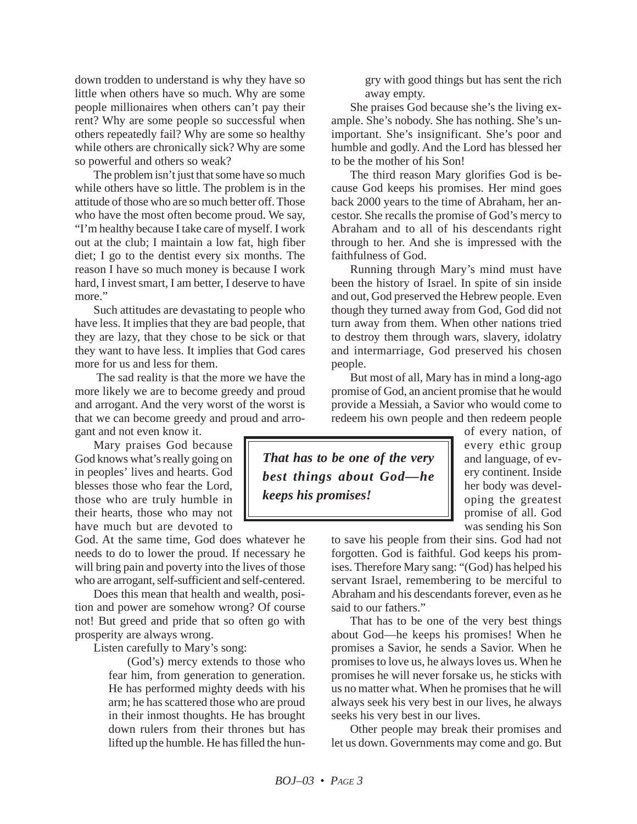down trodden to understand is why they have so little when others have so much. Why are some people millionaires when others can't pay their rent? Why are some people so successful when others repeatedly fail? Why are some so healthy while others are chronically sick? Why are some so powerful and others so weak?

The problem isn't just that some have so much while others have so little. The problem is in the attitude of those who are so much better off. Those who have the most often become proud. We say, "I'm healthy because I take care of myself. I work out at the club; I maintain a low fat, high fiber diet; I go to the dentist every six months. The reason I have so much money is because I work hard, I invest smart, I am better, I deserve to have more."

Such attitudes are devastating to people who have less. It implies that they are bad people, that they are lazy, that they chose to be sick or that they want to have less. It implies that God cares more for us and less for them.

The sad reality is that the more we have the more likely we are to become greedy and proud and arrogant. And the very worst of the worst is that we can become greedy and proud and arrogant and not even know it.

Mary praises God because God knows what's really going on in peoples' lives and hearts. God blesses those who fear the Lord, those who are truly humble in their hearts, those who may not have much but are devoted to

God. At the same time, God does whatever he needs to do to lower the proud. If necessary he will bring pain and poverty into the lives of those who are arrogant, self-sufficient and self-centered.

Does this mean that health and wealth, position and power are somehow wrong? Of course not! But greed and pride that so often go with prosperity are always wrong.

Listen carefully to Mary's song:

(God's) mercy extends to those who fear him, from generation to generation. He has performed mighty deeds with his arm; he has scattered those who are proud in their inmost thoughts. He has brought down rulers from their thrones but has lifted up the humble. He has filled the hungry with good things but has sent the rich away empty.

She praises God because she's the living example. She's nobody. She has nothing. She's unimportant. She's insignificant. She's poor and humble and godly. And the Lord has blessed her to be the mother of his Son!

The third reason Mary glorifies God is because God keeps his promises. Her mind goes back 2000 years to the time of Abraham, her ancestor. She recalls the promise of God's mercy to Abraham and to all of his descendants right through to her. And she is impressed with the faithfulness of God.

Running through Mary's mind must have been the history of Israel. In spite of sin inside and out, God preserved the Hebrew people. Even though they turned away from God, God did not turn away from them. When other nations tried to destroy them through wars, slavery, idolatry and intermarriage, God preserved his chosen people.

But most of all, Mary has in mind a long-ago promise of God, an ancient promise that he would provide a Messiah, a Savior who would come to redeem his own people and then redeem people

*That has to be one of the very best things about God—he keeps his promises!*

of every nation, of every ethic group and language, of every continent. Inside her body was developing the greatest promise of all. God was sending his Son

to save his people from their sins. God had not forgotten. God is faithful. God keeps his promises. Therefore Mary sang: "(God) has helped his servant Israel, remembering to be merciful to Abraham and his descendants forever, even as he said to our fathers."

That has to be one of the very best things about God—he keeps his promises! When he promises a Savior, he sends a Savior. When he promises to love us, he always loves us. When he promises he will never forsake us, he sticks with us no matter what. When he promises that he will always seek his very best in our lives, he always seeks his very best in our lives.

Other people may break their promises and let us down. Governments may come and go. But